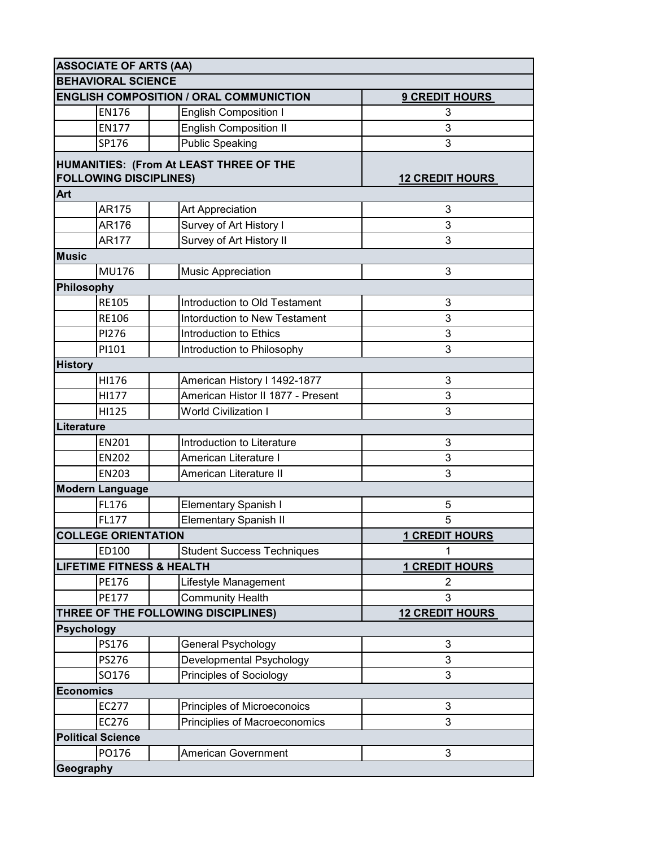| <b>ASSOCIATE OF ARTS (AA)</b> |                                      |                                                |                        |  |  |
|-------------------------------|--------------------------------------|------------------------------------------------|------------------------|--|--|
|                               | <b>BEHAVIORAL SCIENCE</b>            |                                                |                        |  |  |
|                               |                                      | <b>ENGLISH COMPOSITION / ORAL COMMUNICTION</b> | <b>9 CREDIT HOURS</b>  |  |  |
|                               | <b>EN176</b>                         | <b>English Composition I</b>                   | 3                      |  |  |
|                               | <b>EN177</b>                         | <b>English Composition II</b>                  | 3                      |  |  |
|                               | SP176                                | <b>Public Speaking</b>                         | 3                      |  |  |
|                               |                                      | HUMANITIES: (From At LEAST THREE OF THE        |                        |  |  |
|                               | <b>FOLLOWING DISCIPLINES)</b>        |                                                | <b>12 CREDIT HOURS</b> |  |  |
| Art                           |                                      |                                                |                        |  |  |
|                               | AR175                                | Art Appreciation                               | 3                      |  |  |
|                               | AR176                                | Survey of Art History I                        | 3                      |  |  |
|                               | <b>AR177</b>                         | Survey of Art History II                       | 3                      |  |  |
| <b>Music</b>                  |                                      |                                                |                        |  |  |
|                               | MU176                                | <b>Music Appreciation</b>                      | 3                      |  |  |
|                               | Philosophy                           |                                                |                        |  |  |
|                               | <b>RE105</b>                         | Introduction to Old Testament                  | 3                      |  |  |
|                               | <b>RE106</b>                         | Intorduction to New Testament                  | 3                      |  |  |
|                               | PI276                                | Introduction to Ethics                         | 3                      |  |  |
|                               | PI101                                | Introduction to Philosophy                     | 3                      |  |  |
| <b>History</b>                |                                      |                                                |                        |  |  |
|                               | HI176                                | American History I 1492-1877                   | 3                      |  |  |
|                               | HI177                                | American Histor II 1877 - Present              | 3                      |  |  |
|                               | HI125                                | <b>World Civilization I</b>                    | 3                      |  |  |
|                               | Literature                           |                                                |                        |  |  |
|                               | EN201                                | Introduction to Literature                     | 3                      |  |  |
|                               | <b>EN202</b>                         | American Literature I                          | 3                      |  |  |
|                               | <b>EN203</b>                         | American Literature II                         | 3                      |  |  |
| <b>Modern Language</b>        |                                      |                                                |                        |  |  |
|                               | FL176                                | Elementary Spanish I                           | 5                      |  |  |
|                               | FL177                                | <b>Elementary Spanish II</b>                   | 5                      |  |  |
|                               | <b>COLLEGE ORIENTATION</b>           |                                                | <b>1 CREDIT HOURS</b>  |  |  |
|                               | ED100                                | <b>Student Success Techniques</b>              | 1                      |  |  |
|                               | <b>LIFETIME FITNESS &amp; HEALTH</b> |                                                | <b>1 CREDIT HOURS</b>  |  |  |
|                               | PE176                                | Lifestyle Management                           | 2                      |  |  |
|                               | <b>PE177</b>                         | <b>Community Health</b>                        | 3                      |  |  |
|                               |                                      | THREE OF THE FOLLOWING DISCIPLINES)            | <b>12 CREDIT HOURS</b> |  |  |
|                               | <b>Psychology</b>                    |                                                |                        |  |  |
|                               | PS176                                | General Psychology                             | 3                      |  |  |
|                               | PS276                                | Developmental Psychology                       | 3                      |  |  |
|                               | SO176                                | Principles of Sociology                        | 3                      |  |  |
|                               | <b>Economics</b>                     |                                                |                        |  |  |
|                               | EC277                                | Principles of Microeconoics                    | 3                      |  |  |
|                               | EC276                                | Principlies of Macroeconomics                  | 3                      |  |  |
|                               | <b>Political Science</b>             |                                                |                        |  |  |
|                               | PO176                                | American Government                            | 3                      |  |  |
|                               | Geography                            |                                                |                        |  |  |
|                               |                                      |                                                |                        |  |  |